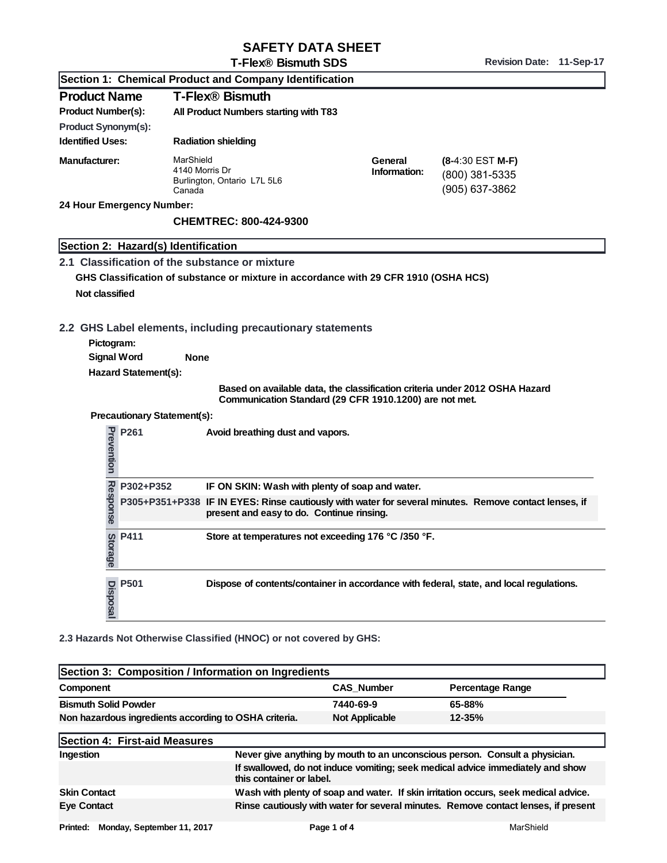## SAFETY DATA SHEET

Revision Date: 11-Sep-17

|                                         | I -FIEX® BISMUIN SDS                                                                 |                                                        | Revision Date.<br>11-96b-17                                                                           |
|-----------------------------------------|--------------------------------------------------------------------------------------|--------------------------------------------------------|-------------------------------------------------------------------------------------------------------|
|                                         | Section 1: Chemical Product and Company Identification                               |                                                        |                                                                                                       |
| <b>Product Name</b>                     | T-Flex <sup>®</sup> Bismuth                                                          |                                                        |                                                                                                       |
| Product Number(s):                      | All Product Numbers starting with T83                                                |                                                        |                                                                                                       |
| Product Synonym(s):                     |                                                                                      |                                                        |                                                                                                       |
| <b>Identified Uses:</b>                 | Radiation shielding                                                                  |                                                        |                                                                                                       |
| Manufacturer:                           | MarShield<br>4140 Morris Dr<br>Burlington, Ontario L7L 5L6<br>Canada                 | General<br>Information:                                | (8-4:30 EST M-F)<br>(800) 381-5335<br>(905) 637-3862                                                  |
| 24 Hour Emergency Number:               |                                                                                      |                                                        |                                                                                                       |
|                                         | CHEMTREC: 800-424-9300                                                               |                                                        |                                                                                                       |
| Section 2: Hazard(s) Identification     |                                                                                      |                                                        |                                                                                                       |
|                                         | 2.1 Classification of the substance or mixture                                       |                                                        |                                                                                                       |
|                                         | GHS Classification of substance or mixture in accordance with 29 CFR 1910 (OSHA HCS) |                                                        |                                                                                                       |
| Not classified                          |                                                                                      |                                                        |                                                                                                       |
|                                         |                                                                                      |                                                        |                                                                                                       |
|                                         | 2.2 GHS Label elements, including precautionary statements                           |                                                        |                                                                                                       |
| Pictogram:                              |                                                                                      |                                                        |                                                                                                       |
| Signal Word                             | None                                                                                 |                                                        |                                                                                                       |
| Hazard Statement(s):                    |                                                                                      |                                                        |                                                                                                       |
|                                         |                                                                                      |                                                        | Based on available data, the classification criteria under 2012 OSHA Hazard                           |
|                                         |                                                                                      | Communication Standard (29 CFR 1910.1200) are not met. |                                                                                                       |
| Precautionary Statement(s):             |                                                                                      |                                                        |                                                                                                       |
| Prevention<br>P261                      | Avoid breathing dust and vapors.                                                     |                                                        |                                                                                                       |
| P302+P352                               | IF ON SKIN: Wash with plenty of soap and water.                                      |                                                        |                                                                                                       |
| Response                                | present and easy to do. Continue rinsing.                                            |                                                        | P305+P351+P338 IF IN EYES: Rinse cautiously with water for several minutes. Remove contact lenses, if |
| $\frac{60}{9}$ P411<br>rage <sup></sup> | Store at temperatures not exceeding 176 °C /350 °F.                                  |                                                        |                                                                                                       |
| P501<br>Disposal                        |                                                                                      |                                                        | Dispose of contents/container in accordance with federal, state, and local regulations.               |
|                                         | 2.3 Hazards Not Otherwise Classified (HNOC) or not covered by GHS:                   |                                                        |                                                                                                       |
|                                         | Section 3: Composition / Information on Ingredients                                  |                                                        |                                                                                                       |
| Component                               |                                                                                      | CAS_Number                                             | Percentage Range                                                                                      |
| <b>Bismuth Solid Powder</b>             |                                                                                      | 7440-69-9                                              | 65-88%                                                                                                |
|                                         | Non hazardous ingredients according to OSHA criteria.                                | Not Applicable                                         | 12-35%                                                                                                |

| Section 3: Composition / Information on Ingredients   |                                                                                                            |                |                                                                                     |
|-------------------------------------------------------|------------------------------------------------------------------------------------------------------------|----------------|-------------------------------------------------------------------------------------|
| Component                                             |                                                                                                            | CAS Number     | Percentage Range                                                                    |
| <b>Bismuth Solid Powder</b>                           |                                                                                                            | 7440-69-9      | 65-88%                                                                              |
| Non hazardous ingredients according to OSHA criteria. |                                                                                                            | Not Applicable | $12 - 35%$                                                                          |
| Section 4: First-aid Measures                         |                                                                                                            |                |                                                                                     |
| Ingestion                                             | Never give anything by mouth to an unconscious person. Consult a physician.                                |                |                                                                                     |
|                                                       | If swallowed, do not induce vomiting; seek medical advice immediately and show<br>this container or label. |                |                                                                                     |
| <b>Skin Contact</b>                                   |                                                                                                            |                | Wash with plenty of soap and water. If skin irritation occurs, seek medical advice. |
| Eye Contact                                           |                                                                                                            |                | Rinse cautiously with water for several minutes. Remove contact lenses, if present  |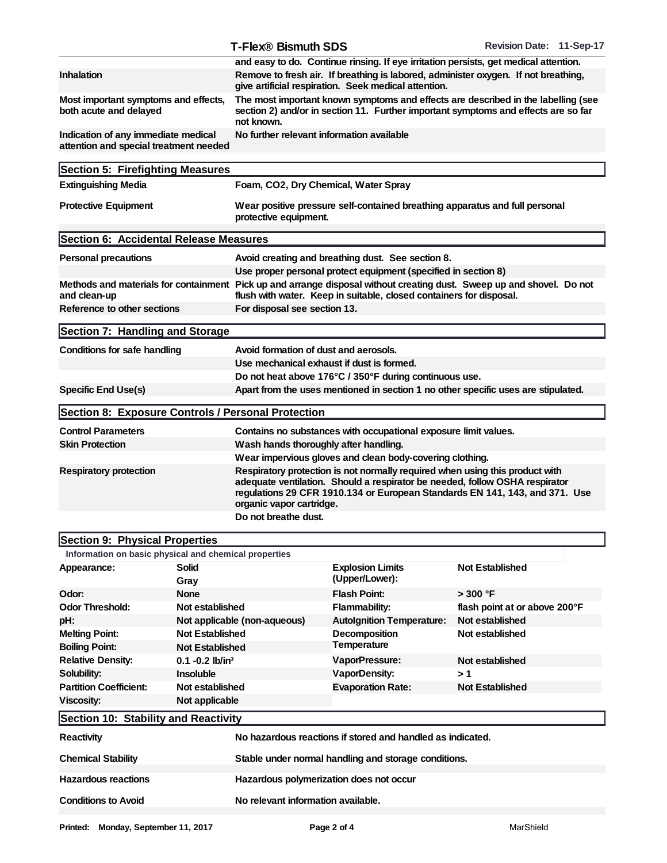|                                                                               |       | T-Flex <sup>®</sup> Bismuth SDS                                                                                                                                                                                                                                        |  | Revision Date: 11-Sep-17 |  |
|-------------------------------------------------------------------------------|-------|------------------------------------------------------------------------------------------------------------------------------------------------------------------------------------------------------------------------------------------------------------------------|--|--------------------------|--|
|                                                                               |       | and easy to do. Continue rinsing. If eye irritation persists, get medical attention.                                                                                                                                                                                   |  |                          |  |
| Inhalation                                                                    |       | Remove to fresh air. If breathing is labored, administer oxygen. If not breathing,<br>give artificial respiration. Seek medical attention.                                                                                                                             |  |                          |  |
| Most important symptoms and effects,<br>both acute and delayed                |       | The most important known symptoms and effects are described in the labelling (see<br>section 2) and/or in section 11. Further important symptoms and effects are so far<br>not known.                                                                                  |  |                          |  |
| Indication of any immediate medical<br>attention and special treatment needed |       | No further relevant information available                                                                                                                                                                                                                              |  |                          |  |
| Section 5: Firefighting Measures                                              |       |                                                                                                                                                                                                                                                                        |  |                          |  |
| <b>Extinguishing Media</b>                                                    |       | Foam, CO2, Dry Chemical, Water Spray                                                                                                                                                                                                                                   |  |                          |  |
| <b>Protective Equipment</b>                                                   |       | Wear positive pressure self-contained breathing apparatus and full personal<br>protective equipment.                                                                                                                                                                   |  |                          |  |
| Section 6: Accidental Release Measures                                        |       |                                                                                                                                                                                                                                                                        |  |                          |  |
| Personal precautions                                                          |       | Avoid creating and breathing dust. See section 8.                                                                                                                                                                                                                      |  |                          |  |
|                                                                               |       | Use proper personal protect equipment (specified in section 8)                                                                                                                                                                                                         |  |                          |  |
|                                                                               |       | Methods and materials for containment Pick up and arrange disposal without creating dust. Sweep up and shovel. Do not                                                                                                                                                  |  |                          |  |
| and clean-up                                                                  |       | flush with water. Keep in suitable, closed containers for disposal.                                                                                                                                                                                                    |  |                          |  |
| Reference to other sections                                                   |       | For disposal see section 13.                                                                                                                                                                                                                                           |  |                          |  |
| Section 7: Handling and Storage                                               |       |                                                                                                                                                                                                                                                                        |  |                          |  |
| Conditions for safe handling                                                  |       | Avoid formation of dust and aerosols.                                                                                                                                                                                                                                  |  |                          |  |
|                                                                               |       | Use mechanical exhaust if dust is formed.                                                                                                                                                                                                                              |  |                          |  |
|                                                                               |       | Do not heat above 176°C / 350°F during continuous use.                                                                                                                                                                                                                 |  |                          |  |
| Specific End Use(s)                                                           |       | Apart from the uses mentioned in section 1 no other specific uses are stipulated.                                                                                                                                                                                      |  |                          |  |
| Section 8: Exposure Controls / Personal Protection                            |       |                                                                                                                                                                                                                                                                        |  |                          |  |
| <b>Control Parameters</b>                                                     |       | Contains no substances with occupational exposure limit values.                                                                                                                                                                                                        |  |                          |  |
| <b>Skin Protection</b>                                                        |       | Wash hands thoroughly after handling.                                                                                                                                                                                                                                  |  |                          |  |
|                                                                               |       | Wear impervious gloves and clean body-covering clothing.                                                                                                                                                                                                               |  |                          |  |
| Respiratory protection                                                        |       | Respiratory protection is not normally required when using this product with<br>adequate ventilation. Should a respirator be needed, follow OSHA respirator<br>regulations 29 CFR 1910.134 or European Standards EN 141, 143, and 371. Use<br>organic vapor cartridge. |  |                          |  |
|                                                                               |       | Do not breathe dust.                                                                                                                                                                                                                                                   |  |                          |  |
| Section 9: Physical Properties                                                |       |                                                                                                                                                                                                                                                                        |  |                          |  |
| Information on basic physical and chemical properties                         |       |                                                                                                                                                                                                                                                                        |  |                          |  |
| Appearance:                                                                   | Solid | <b>Explosion Limits</b>                                                                                                                                                                                                                                                |  | <b>Not Established</b>   |  |
|                                                                               | Grav  | (Upper/Lower):                                                                                                                                                                                                                                                         |  |                          |  |

| Appearance:                          | Solid<br>Gray                                        | <b>Explosion Limits</b><br>(Upper/Lower):                  | Not Established               |  |
|--------------------------------------|------------------------------------------------------|------------------------------------------------------------|-------------------------------|--|
| Odor:                                | None                                                 | Flash Point:                                               | > 300 °F                      |  |
| Odor Threshold:                      | Not established                                      | Flammability:                                              | flash point at or above 200°F |  |
| pH:                                  | Not applicable (non-aqueous)                         | <b>Autolgnition Temperature:</b>                           | Not established               |  |
| <b>Melting Point:</b>                | Not Established                                      | Decomposition                                              | Not established               |  |
| Boiling Point:                       | Not Established                                      | Temperature                                                |                               |  |
| <b>Relative Density:</b>             | $0.1 - 0.2$ lb/in <sup>3</sup>                       | VaporPressure:                                             | Not established               |  |
| Solubility:                          | Insoluble                                            | VaporDensity:                                              | >1                            |  |
| <b>Partition Coefficient:</b>        | Not established                                      | Evaporation Rate:                                          | Not Established               |  |
| Viscosity:                           | Not applicable                                       |                                                            |                               |  |
| Section 10: Stability and Reactivity |                                                      |                                                            |                               |  |
| Reactivity                           |                                                      | No hazardous reactions if stored and handled as indicated. |                               |  |
| <b>Chemical Stability</b>            | Stable under normal handling and storage conditions. |                                                            |                               |  |
| Hazardous reactions                  | Hazardous polymerization does not occur              |                                                            |                               |  |
| Conditions to Avoid                  | No relevant information available.                   |                                                            |                               |  |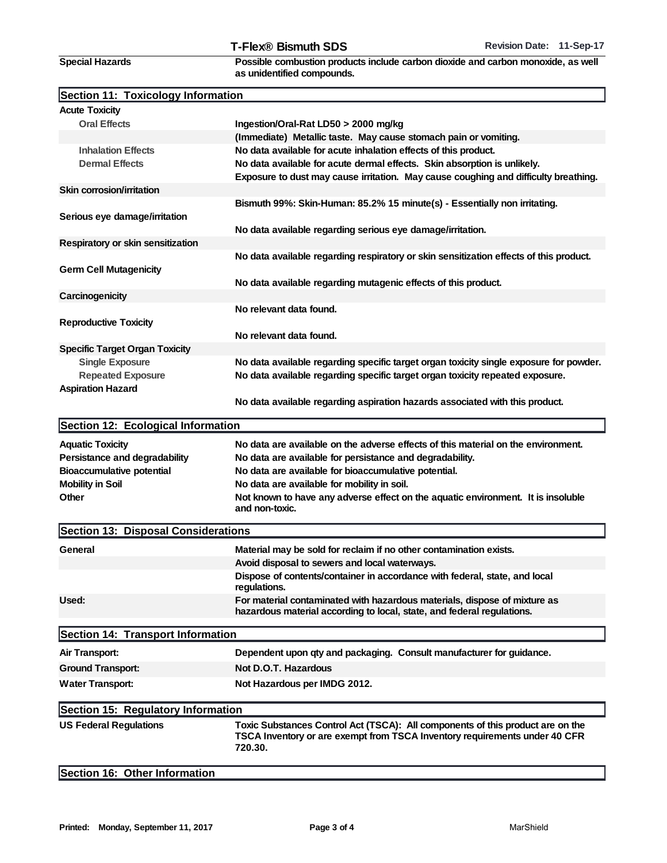Special Hazards

Possible combustion products include carbon dioxide and carbon monoxide, as well as unidentified compounds.

|  |  | Section 11: Toxicology Information |  |
|--|--|------------------------------------|--|
|--|--|------------------------------------|--|

| <b>Acute Toxicity</b>               |                                                                                                                                                                         |
|-------------------------------------|-------------------------------------------------------------------------------------------------------------------------------------------------------------------------|
| <b>Oral Effects</b>                 | Ingestion/Oral-Rat LD50 > 2000 mg/kg                                                                                                                                    |
|                                     | (Immediate) Metallic taste. May cause stomach pain or vomiting.                                                                                                         |
| <b>Inhalation Effects</b>           | No data available for acute inhalation effects of this product.                                                                                                         |
| <b>Dermal Effects</b>               | No data available for acute dermal effects. Skin absorption is unlikely.<br>Exposure to dust may cause irritation. May cause coughing and difficulty breathing.         |
| Skin corrosion/irritation           |                                                                                                                                                                         |
| Serious eye damage/irritation       | Bismuth 99%: Skin-Human: 85.2% 15 minute(s) - Essentially non irritating.                                                                                               |
|                                     | No data available regarding serious eye damage/irritation.                                                                                                              |
| Respiratory or skin sensitization   |                                                                                                                                                                         |
| Germ Cell Mutagenicity              | No data available regarding respiratory or skin sensitization effects of this product.                                                                                  |
|                                     | No data available regarding mutagenic effects of this product.                                                                                                          |
| Carcinogenicity                     |                                                                                                                                                                         |
| <b>Reproductive Toxicity</b>        | No relevant data found.                                                                                                                                                 |
|                                     | No relevant data found.                                                                                                                                                 |
| Specific Target Organ Toxicity      |                                                                                                                                                                         |
| Single Exposure                     | No data available regarding specific target organ toxicity single exposure for powder.                                                                                  |
| Repeated Exposure                   | No data available regarding specific target organ toxicity repeated exposure.                                                                                           |
| <b>Aspiration Hazard</b>            |                                                                                                                                                                         |
|                                     | No data available regarding aspiration hazards associated with this product.                                                                                            |
| Section 12: Ecological Information  |                                                                                                                                                                         |
| <b>Aquatic Toxicity</b>             | No data are available on the adverse effects of this material on the environment.                                                                                       |
| Persistance and degradability       | No data are available for persistance and degradability.                                                                                                                |
| Bioaccumulative potential           | No data are available for bioaccumulative potential.                                                                                                                    |
| Mobility in Soil                    | No data are available for mobility in soil.                                                                                                                             |
| Other                               | Not known to have any adverse effect on the aquatic environment. It is insoluble<br>and non-toxic.                                                                      |
| Section 13: Disposal Considerations |                                                                                                                                                                         |
| General                             | Material may be sold for reclaim if no other contamination exists.                                                                                                      |
|                                     | Avoid disposal to sewers and local waterways.                                                                                                                           |
|                                     | Dispose of contents/container in accordance with federal, state, and local<br>regulations.                                                                              |
| Used:                               | For material contaminated with hazardous materials, dispose of mixture as<br>hazardous material according to local, state, and federal regulations.                     |
| Section 14: Transport Information   |                                                                                                                                                                         |
| Air Transport:                      | Dependent upon qty and packaging. Consult manufacturer for guidance.                                                                                                    |
| Ground Transport:                   | Not D.O.T. Hazardous                                                                                                                                                    |
| Water Transport:                    | Not Hazardous per IMDG 2012.                                                                                                                                            |
|                                     |                                                                                                                                                                         |
| Section 15: Regulatory Information  |                                                                                                                                                                         |
| <b>US Federal Regulations</b>       | Toxic Substances Control Act (TSCA): All components of this product are on the<br>TSCA Inventory or are exempt from TSCA Inventory requirements under 40 CFR<br>720.30. |

Section 16: Other Information